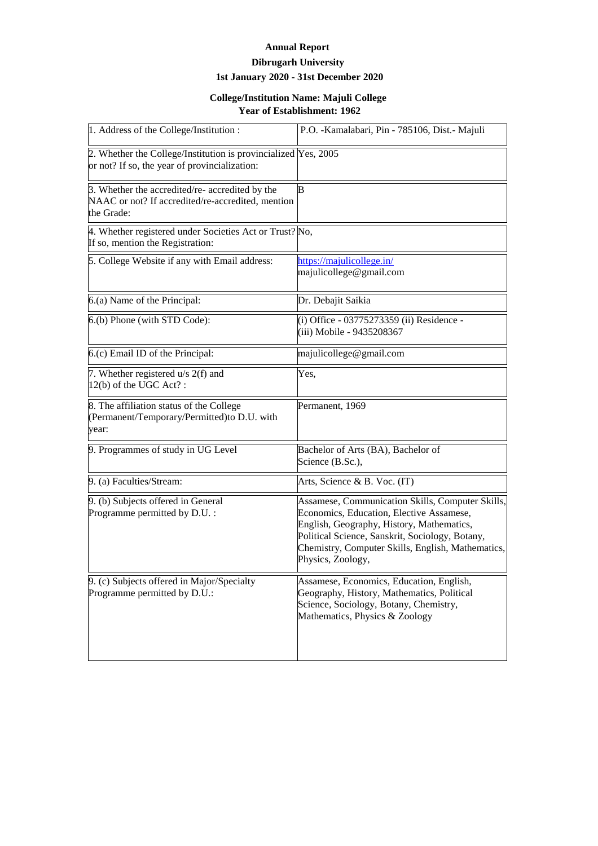## **Annual Report**

## **Dibrugarh University 1st January 2020 - 31st December 2020**

## **College/Institution Name: Majuli College Year of Establishment: 1962**

| 1. Address of the College/Institution:                                                                             | P.O. - Kamalabari, Pin - 785106, Dist. - Majuli                                                                                                                                                                                                                        |
|--------------------------------------------------------------------------------------------------------------------|------------------------------------------------------------------------------------------------------------------------------------------------------------------------------------------------------------------------------------------------------------------------|
| 2. Whether the College/Institution is provincialized Yes, 2005<br>or not? If so, the year of provincialization:    |                                                                                                                                                                                                                                                                        |
| 3. Whether the accredited/re- accredited by the<br>NAAC or not? If accredited/re-accredited, mention<br>the Grade: | В                                                                                                                                                                                                                                                                      |
| 4. Whether registered under Societies Act or Trust? No,<br>If so, mention the Registration:                        |                                                                                                                                                                                                                                                                        |
| 5. College Website if any with Email address:                                                                      | https://majulicollege.in/<br>majulicollege@gmail.com                                                                                                                                                                                                                   |
| 6.(a) Name of the Principal:                                                                                       | Dr. Debajit Saikia                                                                                                                                                                                                                                                     |
| 6.(b) Phone (with STD Code):                                                                                       | (i) Office - 03775273359 (ii) Residence -<br>(iii) Mobile - 9435208367                                                                                                                                                                                                 |
| 6.(c) Email ID of the Principal:                                                                                   | majulicollege@gmail.com                                                                                                                                                                                                                                                |
| 7. Whether registered u/s 2(f) and<br>$12(b)$ of the UGC Act?:                                                     | Yes,                                                                                                                                                                                                                                                                   |
| 8. The affiliation status of the College<br>(Permanent/Temporary/Permitted) to D.U. with<br>year:                  | Permanent, 1969                                                                                                                                                                                                                                                        |
| 9. Programmes of study in UG Level                                                                                 | Bachelor of Arts (BA), Bachelor of<br>Science (B.Sc.),                                                                                                                                                                                                                 |
| 9. (a) Faculties/Stream:                                                                                           | Arts, Science & B. Voc. (IT)                                                                                                                                                                                                                                           |
| 9. (b) Subjects offered in General<br>Programme permitted by D.U. :                                                | Assamese, Communication Skills, Computer Skills,<br>Economics, Education, Elective Assamese,<br>English, Geography, History, Mathematics,<br>Political Science, Sanskrit, Sociology, Botany,<br>Chemistry, Computer Skills, English, Mathematics,<br>Physics, Zoology, |
| 9. (c) Subjects offered in Major/Specialty<br>Programme permitted by D.U.:                                         | Assamese, Economics, Education, English,<br>Geography, History, Mathematics, Political<br>Science, Sociology, Botany, Chemistry,<br>Mathematics, Physics & Zoology                                                                                                     |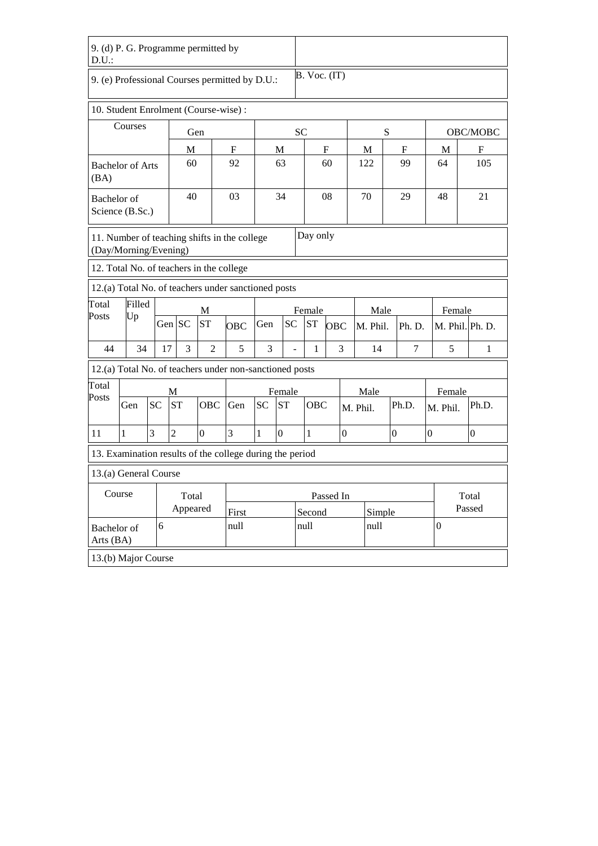| D.U.                     | 9. (d) P. G. Programme permitted by                                               |           |                |                  |            |           |                          |                  |            |                  |          |                  |                  |                  |                  |  |
|--------------------------|-----------------------------------------------------------------------------------|-----------|----------------|------------------|------------|-----------|--------------------------|------------------|------------|------------------|----------|------------------|------------------|------------------|------------------|--|
|                          | 9. (e) Professional Courses permitted by D.U.:                                    |           |                |                  |            |           |                          | $B.$ Voc. $(IT)$ |            |                  |          |                  |                  |                  |                  |  |
|                          | 10. Student Enrolment (Course-wise):                                              |           |                |                  |            |           |                          |                  |            |                  |          |                  |                  |                  |                  |  |
| Courses                  |                                                                                   |           |                | Gen              |            |           |                          | <b>SC</b>        |            |                  | S        |                  |                  | OBC/MOBC         |                  |  |
|                          |                                                                                   |           | М              |                  | M<br>F     |           |                          | F                |            |                  | M        | F                |                  | M                | F                |  |
| (BA)                     | <b>Bachelor of Arts</b>                                                           |           | 60             |                  | 92         | 63        |                          | 60               |            |                  | 122      | 99               |                  | 64               | 105              |  |
| Bachelor of              | Science (B.Sc.)                                                                   |           | 40             |                  | 03         |           | 34                       |                  | 08         |                  | 70       | 29               |                  | 48               | 21               |  |
|                          | Day only<br>11. Number of teaching shifts in the college<br>(Day/Morning/Evening) |           |                |                  |            |           |                          |                  |            |                  |          |                  |                  |                  |                  |  |
|                          | 12. Total No. of teachers in the college                                          |           |                |                  |            |           |                          |                  |            |                  |          |                  |                  |                  |                  |  |
|                          | 12.(a) Total No. of teachers under sanctioned posts                               |           |                |                  |            |           |                          |                  |            |                  |          |                  |                  |                  |                  |  |
| Total                    | Filled                                                                            |           |                |                  |            |           | Female                   |                  |            | Male             |          | Female           |                  |                  |                  |  |
| Posts                    | Up                                                                                |           | Gen SC         | <b>ST</b>        | <b>OBC</b> | Gen       | <b>SC</b>                | <b>ST</b>        | <b>OBC</b> |                  | M. Phil. | Ph. D.           | M. Phil. Ph. D.  |                  |                  |  |
| 44                       | 34                                                                                | 17        | 3              | $\overline{2}$   | 5          | 3         | $\overline{\phantom{a}}$ | 1                |            | 3                | 14       | 7                |                  | 5                | 1                |  |
|                          | 12.(a) Total No. of teachers under non-sanctioned posts                           |           |                |                  |            |           |                          |                  |            |                  |          |                  |                  |                  |                  |  |
| Total                    |                                                                                   |           | М              |                  |            |           | Female                   |                  |            |                  | Male     |                  |                  | Female           |                  |  |
| Posts                    | Gen                                                                               | <b>SC</b> | <b>ST</b>      | <b>OBC</b>       | Gen        | <b>SC</b> | <b>ST</b>                | OBC              |            |                  | M. Phil. | Ph.D.            |                  | M. Phil.         | Ph.D.            |  |
| 11                       | $\mathbf{1}$                                                                      | 3         | $\overline{2}$ | $\boldsymbol{0}$ | 3          | 1         | $\boldsymbol{0}$         | $\mathbf{1}$     |            | $\boldsymbol{0}$ |          | $\boldsymbol{0}$ | $\boldsymbol{0}$ |                  | $\boldsymbol{0}$ |  |
|                          | 13. Examination results of the college during the period                          |           |                |                  |            |           |                          |                  |            |                  |          |                  |                  |                  |                  |  |
|                          | 13.(a) General Course                                                             |           |                |                  |            |           |                          |                  |            |                  |          |                  |                  |                  |                  |  |
| Course                   |                                                                                   |           | Total          |                  |            |           |                          | Passed In        |            |                  |          |                  |                  |                  | Total            |  |
|                          |                                                                                   |           | Appeared       |                  | First      |           |                          | Second           |            |                  | Simple   |                  | Passed           |                  |                  |  |
| Bachelor of<br>Arts (BA) |                                                                                   | 6         |                |                  | null       |           |                          | null             |            |                  | null     |                  |                  | $\boldsymbol{0}$ |                  |  |
|                          | 13.(b) Major Course                                                               |           |                |                  |            |           |                          |                  |            |                  |          |                  |                  |                  |                  |  |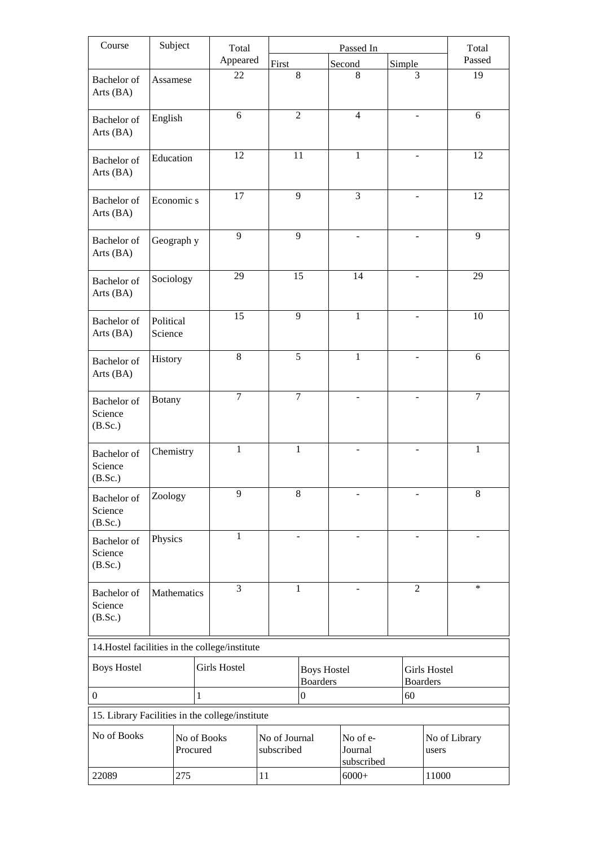| Course                                          |                      | Subject                 | Total               |                                   | Passed In              |  |                                       |                |        |                                        | Total          |  |
|-------------------------------------------------|----------------------|-------------------------|---------------------|-----------------------------------|------------------------|--|---------------------------------------|----------------|--------|----------------------------------------|----------------|--|
|                                                 |                      |                         | Appeared            | First                             |                        |  | Second                                |                | Simple |                                        | Passed         |  |
| Bachelor of<br>Arts (BA)                        |                      | Assamese                | 22                  |                                   | 8                      |  | 8                                     |                | 3      |                                        | 19             |  |
| Bachelor of<br>Arts (BA)                        | English              |                         | 6                   |                                   | $\overline{2}$         |  | $\overline{4}$                        |                |        |                                        | 6              |  |
| <b>Bachelor</b> of<br>Arts (BA)                 |                      | Education               | 12                  |                                   | 11                     |  | $\mathbf{1}$                          |                |        |                                        | 12             |  |
| Bachelor of<br>Arts (BA)                        |                      | Economic s              | 17                  |                                   | 9                      |  | 3                                     |                |        |                                        | 12             |  |
| <b>Bachelor</b> of<br>Arts (BA)                 |                      | Geograph y              | $\overline{9}$      |                                   | $\overline{9}$         |  |                                       |                |        |                                        | $\overline{9}$ |  |
| Bachelor of<br>Arts (BA)                        |                      | Sociology               | 29                  |                                   | 15                     |  | 14                                    |                | ÷.     |                                        | 29             |  |
| Bachelor of<br>Arts (BA)                        | Political<br>Science |                         | 15                  |                                   | 9                      |  | $\mathbf{1}$                          |                |        |                                        | 10             |  |
| Bachelor of<br>Arts (BA)                        | History              |                         | 8                   |                                   | $\overline{5}$         |  | $\mathbf{1}$                          |                |        |                                        | 6              |  |
| Bachelor of<br>Science<br>(B.Sc.)               | <b>Botany</b>        |                         | $\overline{7}$      |                                   | $\overline{7}$         |  |                                       |                |        |                                        | $\overline{7}$ |  |
| Bachelor of<br>Science<br>(B.Sc.)               | Chemistry            |                         | 1                   |                                   | 1                      |  |                                       |                |        |                                        | 1              |  |
| Bachelor of<br>Science<br>(B.Sc.)               | Zoology              |                         | 9                   |                                   | $\,$ 8 $\,$            |  |                                       |                |        |                                        | $8\,$          |  |
| Bachelor of<br>Science<br>(B.Sc.)               | Physics              |                         | 1                   |                                   |                        |  |                                       |                |        |                                        |                |  |
| Bachelor of<br>Science<br>(B.Sc.)               |                      | Mathematics             | $\overline{3}$      |                                   | $\mathbf{1}$           |  |                                       | $\overline{2}$ |        |                                        | $\ast$         |  |
| 14. Hostel facilities in the college/institute  |                      |                         |                     |                                   |                        |  |                                       |                |        |                                        |                |  |
| <b>Boys Hostel</b>                              |                      |                         | <b>Girls Hostel</b> |                                   |                        |  | <b>Boys Hostel</b><br><b>Boarders</b> |                |        | <b>Girls Hostel</b><br><b>Boarders</b> |                |  |
| $\boldsymbol{0}$                                |                      | 1                       |                     |                                   | 60<br>$\boldsymbol{0}$ |  |                                       |                |        |                                        |                |  |
| 15. Library Facilities in the college/institute |                      |                         |                     |                                   |                        |  |                                       |                |        |                                        |                |  |
| No of Books                                     |                      | No of Books<br>Procured |                     | No of Journal<br>subscribed<br>11 |                        |  | No of e-<br>Journal<br>subscribed     |                |        | No of Library<br>users                 |                |  |
| 275<br>22089                                    |                      |                         |                     | $6000+$                           |                        |  |                                       | 11000          |        |                                        |                |  |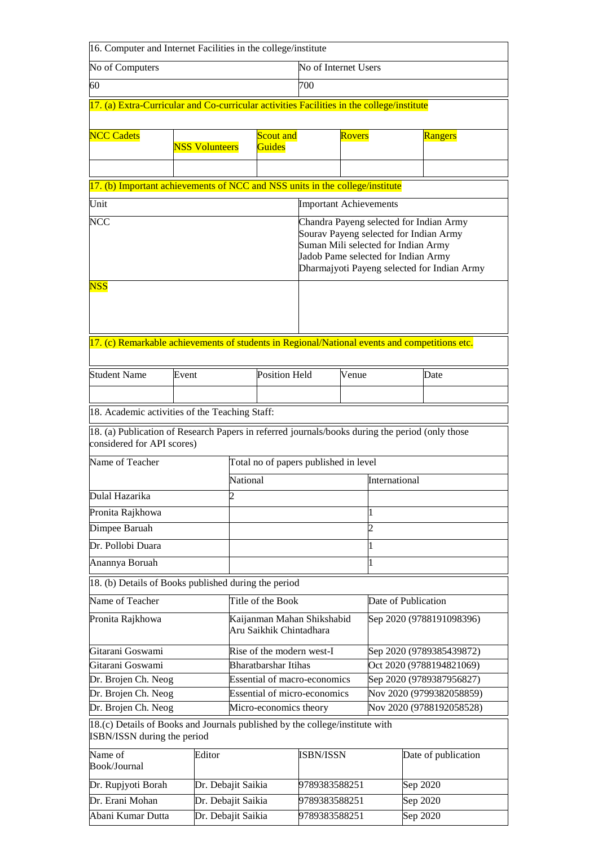| 16. Computer and Internet Facilities in the college/institute                                                                      |       |                                                       |                                       |                             |                                                                            |              |                          |                          |                                                                                                                                  |  |  |
|------------------------------------------------------------------------------------------------------------------------------------|-------|-------------------------------------------------------|---------------------------------------|-----------------------------|----------------------------------------------------------------------------|--------------|--------------------------|--------------------------|----------------------------------------------------------------------------------------------------------------------------------|--|--|
| No of Computers                                                                                                                    |       | No of Internet Users                                  |                                       |                             |                                                                            |              |                          |                          |                                                                                                                                  |  |  |
| 60                                                                                                                                 |       |                                                       |                                       |                             | 700                                                                        |              |                          |                          |                                                                                                                                  |  |  |
| 17. (a) Extra-Curricular and Co-curricular activities Facilities in the college/institute                                          |       |                                                       |                                       |                             |                                                                            |              |                          |                          |                                                                                                                                  |  |  |
|                                                                                                                                    |       |                                                       |                                       |                             |                                                                            |              |                          |                          |                                                                                                                                  |  |  |
| <b>NCC Cadets</b>                                                                                                                  |       | <b>NSS Volunteers</b>                                 | <b>Scout and</b><br>Guides            |                             | <b>Rovers</b>                                                              |              |                          |                          | Rangers                                                                                                                          |  |  |
|                                                                                                                                    |       |                                                       |                                       |                             |                                                                            |              |                          |                          |                                                                                                                                  |  |  |
| 17. (b) Important achievements of NCC and NSS units in the college/institute                                                       |       |                                                       |                                       |                             |                                                                            |              |                          |                          |                                                                                                                                  |  |  |
| Unit                                                                                                                               |       |                                                       |                                       |                             | <b>Important Achievements</b>                                              |              |                          |                          |                                                                                                                                  |  |  |
| <b>NCC</b>                                                                                                                         |       |                                                       |                                       |                             | Suman Mili selected for Indian Army<br>Jadob Pame selected for Indian Army |              |                          |                          | Chandra Payeng selected for Indian Army<br>Sourav Payeng selected for Indian Army<br>Dharmajyoti Payeng selected for Indian Army |  |  |
| <b>NSS</b>                                                                                                                         |       |                                                       |                                       |                             |                                                                            |              |                          |                          |                                                                                                                                  |  |  |
|                                                                                                                                    |       |                                                       |                                       |                             |                                                                            |              |                          |                          |                                                                                                                                  |  |  |
| 17. (c) Remarkable achievements of students in Regional/National events and competitions etc.                                      |       |                                                       |                                       |                             |                                                                            |              |                          |                          |                                                                                                                                  |  |  |
| <b>Student Name</b>                                                                                                                | Event |                                                       |                                       | <b>Position Held</b>        |                                                                            | Venue        |                          |                          | Date                                                                                                                             |  |  |
|                                                                                                                                    |       |                                                       |                                       |                             |                                                                            |              |                          |                          |                                                                                                                                  |  |  |
| 18. Academic activities of the Teaching Staff:                                                                                     |       |                                                       |                                       |                             |                                                                            |              |                          |                          |                                                                                                                                  |  |  |
| 18. (a) Publication of Research Papers in referred journals/books during the period (only those                                    |       |                                                       |                                       |                             |                                                                            |              |                          |                          |                                                                                                                                  |  |  |
| considered for API scores)                                                                                                         |       |                                                       |                                       |                             |                                                                            |              |                          |                          |                                                                                                                                  |  |  |
| Name of Teacher                                                                                                                    |       |                                                       | Total no of papers published in level |                             |                                                                            |              | International            |                          |                                                                                                                                  |  |  |
|                                                                                                                                    |       |                                                       | National                              |                             |                                                                            |              |                          |                          |                                                                                                                                  |  |  |
| Dulal Hazarika                                                                                                                     |       |                                                       | 2                                     |                             |                                                                            |              |                          |                          |                                                                                                                                  |  |  |
| Pronita Rajkhowa                                                                                                                   |       |                                                       |                                       |                             |                                                                            |              | 1<br>$\overline{c}$      |                          |                                                                                                                                  |  |  |
| Dimpee Baruah                                                                                                                      |       |                                                       |                                       |                             |                                                                            | $\mathbf{1}$ |                          |                          |                                                                                                                                  |  |  |
| Dr. Pollobi Duara                                                                                                                  |       |                                                       |                                       |                             |                                                                            |              |                          |                          |                                                                                                                                  |  |  |
| Anannya Boruah                                                                                                                     |       |                                                       |                                       |                             |                                                                            |              | 1                        |                          |                                                                                                                                  |  |  |
| 18. (b) Details of Books published during the period                                                                               |       |                                                       |                                       |                             |                                                                            |              |                          |                          |                                                                                                                                  |  |  |
| Name of Teacher                                                                                                                    |       |                                                       | Title of the Book                     |                             |                                                                            |              | Date of Publication      |                          |                                                                                                                                  |  |  |
| Pronita Rajkhowa                                                                                                                   |       | Kaijanman Mahan Shikshabid<br>Aru Saikhik Chintadhara |                                       |                             | Sep 2020 (9788191098396)                                                   |              |                          |                          |                                                                                                                                  |  |  |
| Gitarani Goswami                                                                                                                   |       |                                                       |                                       | Rise of the modern west-I   |                                                                            |              | Sep 2020 (9789385439872) |                          |                                                                                                                                  |  |  |
| Gitarani Goswami                                                                                                                   |       |                                                       |                                       | <b>Bharatbarshar Itihas</b> |                                                                            |              |                          | Oct 2020 (9788194821069) |                                                                                                                                  |  |  |
| Dr. Brojen Ch. Neog<br><b>Essential of macro-economics</b>                                                                         |       |                                                       |                                       |                             |                                                                            |              |                          | Sep 2020 (9789387956827) |                                                                                                                                  |  |  |
| Dr. Brojen Ch. Neog                                                                                                                |       |                                                       |                                       |                             | <b>Essential of micro-economics</b>                                        |              |                          |                          | Nov 2020 (9799382058859)                                                                                                         |  |  |
| Dr. Brojen Ch. Neog<br>18.(c) Details of Books and Journals published by the college/institute with<br>ISBN/ISSN during the period |       |                                                       |                                       | Micro-economics theory      |                                                                            |              |                          |                          | Nov 2020 (9788192058528)                                                                                                         |  |  |
| Name of<br>Book/Journal                                                                                                            |       | Editor                                                |                                       |                             | <b>ISBN/ISSN</b>                                                           |              |                          | Date of publication      |                                                                                                                                  |  |  |
| Dr. Rupjyoti Borah                                                                                                                 |       | Dr. Debajit Saikia                                    |                                       |                             | 9789383588251                                                              |              |                          |                          | Sep 2020                                                                                                                         |  |  |
| Dr. Erani Mohan                                                                                                                    |       | Dr. Debajit Saikia                                    |                                       |                             | 9789383588251                                                              |              |                          | Sep 2020                 |                                                                                                                                  |  |  |
| Abani Kumar Dutta                                                                                                                  |       | Dr. Debajit Saikia                                    |                                       |                             | 9789383588251                                                              |              |                          |                          | Sep 2020                                                                                                                         |  |  |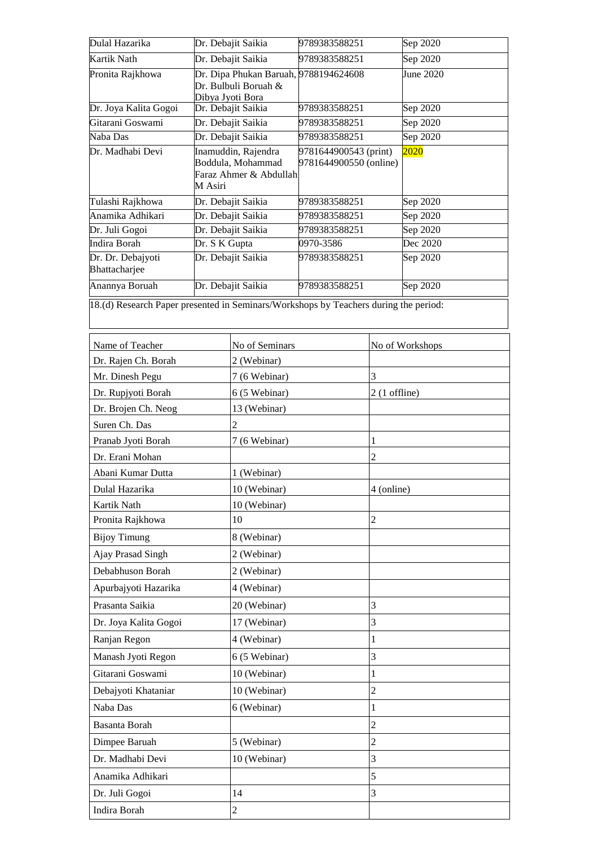| Dulal Hazarika                                                                       | Dr. Debajit Saikia |                                                                    | 9789383588251                                   |                 | Sep 2020          |  |
|--------------------------------------------------------------------------------------|--------------------|--------------------------------------------------------------------|-------------------------------------------------|-----------------|-------------------|--|
| <b>Kartik Nath</b>                                                                   |                    | Dr. Debajit Saikia                                                 | 9789383588251                                   |                 | Sep 2020          |  |
| Pronita Rajkhowa                                                                     | Dibya Jyoti Bora   | Dr. Dipa Phukan Baruah, 9788194624608<br>Dr. Bulbuli Boruah &      |                                                 |                 | June 2020         |  |
| Dr. Joya Kalita Gogoi                                                                |                    | Dr. Debajit Saikia                                                 | 9789383588251                                   |                 | Sep 2020          |  |
| Gitarani Goswami                                                                     |                    | Dr. Debajit Saikia                                                 | 9789383588251                                   |                 | Sep 2020          |  |
| Naba Das                                                                             |                    | Dr. Debajit Saikia                                                 | 9789383588251                                   |                 | Sep 2020          |  |
| Dr. Madhabi Devi                                                                     | M Asiri            | Inamuddin, Rajendra<br>Boddula, Mohammad<br>Faraz Ahmer & Abdullah | 9781644900543 (print)<br>9781644900550 (online) |                 | <mark>2020</mark> |  |
| Tulashi Rajkhowa                                                                     |                    | Dr. Debajit Saikia                                                 | 9789383588251                                   |                 | Sep 2020          |  |
| Anamika Adhikari                                                                     |                    | Dr. Debajit Saikia                                                 | 9789383588251                                   |                 | Sep 2020          |  |
| Dr. Juli Gogoi                                                                       |                    | Dr. Debajit Saikia                                                 | 9789383588251                                   |                 | Sep 2020          |  |
| <b>Indira Borah</b>                                                                  | Dr. S K Gupta      |                                                                    | 0970-3586                                       |                 | Dec 2020          |  |
| Dr. Dr. Debajyoti<br>Bhattacharjee                                                   |                    | Dr. Debajit Saikia                                                 | 9789383588251                                   |                 | Sep 2020          |  |
| Anannya Boruah                                                                       |                    | Dr. Debajit Saikia                                                 | 9789383588251                                   |                 | Sep 2020          |  |
| 18.(d) Research Paper presented in Seminars/Workshops by Teachers during the period: |                    |                                                                    |                                                 |                 |                   |  |
| Name of Teacher                                                                      |                    | No of Seminars                                                     |                                                 |                 | No of Workshops   |  |
| Dr. Rajen Ch. Borah                                                                  |                    | 2 (Webinar)                                                        |                                                 |                 |                   |  |
| Mr. Dinesh Pegu                                                                      |                    | 7 (6 Webinar)                                                      |                                                 | 3               |                   |  |
| Dr. Rupjyoti Borah                                                                   |                    | 6 (5 Webinar)                                                      |                                                 | $2(1)$ offline) |                   |  |
| Dr. Brojen Ch. Neog                                                                  |                    | 13 (Webinar)                                                       |                                                 |                 |                   |  |
| Suren Ch. Das                                                                        |                    | $\overline{2}$                                                     |                                                 |                 |                   |  |
| Pranab Jyoti Borah                                                                   |                    | 7 (6 Webinar)                                                      |                                                 | 1               |                   |  |
| Dr. Erani Mohan                                                                      |                    |                                                                    |                                                 | $\overline{2}$  |                   |  |
| Abani Kumar Dutta                                                                    |                    | 1 (Webinar)                                                        |                                                 |                 |                   |  |
| Dulal Hazarika                                                                       |                    | 10 (Webinar)                                                       |                                                 | 4 (online)      |                   |  |
| Kartik Nath                                                                          |                    | 10 (Webinar)                                                       |                                                 |                 |                   |  |
| Pronita Rajkhowa                                                                     |                    | 10                                                                 |                                                 | $\overline{2}$  |                   |  |
| <b>Bijoy Timung</b>                                                                  |                    | 8 (Webinar)                                                        |                                                 |                 |                   |  |
| Ajay Prasad Singh                                                                    |                    | 2 (Webinar)                                                        |                                                 |                 |                   |  |
| Debabhuson Borah                                                                     |                    | 2 (Webinar)                                                        |                                                 |                 |                   |  |
| Apurbajyoti Hazarika                                                                 |                    | 4 (Webinar)                                                        |                                                 |                 |                   |  |
| Prasanta Saikia                                                                      |                    | 20 (Webinar)                                                       |                                                 | 3               |                   |  |
| Dr. Joya Kalita Gogoi                                                                |                    | 17 (Webinar)                                                       |                                                 | 3               |                   |  |
| Ranjan Regon                                                                         |                    | 4 (Webinar)                                                        |                                                 | 1               |                   |  |
| Manash Jyoti Regon                                                                   |                    | 6 (5 Webinar)                                                      |                                                 | 3               |                   |  |
| Gitarani Goswami                                                                     |                    | 10 (Webinar)                                                       |                                                 | 1               |                   |  |
| Debajyoti Khataniar                                                                  |                    | 10 (Webinar)                                                       |                                                 | $\overline{c}$  |                   |  |
| Naba Das                                                                             |                    | 6 (Webinar)                                                        |                                                 | $\mathbf{1}$    |                   |  |
| Basanta Borah                                                                        |                    |                                                                    |                                                 | $\overline{c}$  |                   |  |
| Dimpee Baruah                                                                        |                    | 5 (Webinar)                                                        |                                                 | $\overline{2}$  |                   |  |
| Dr. Madhabi Devi                                                                     |                    | 10 (Webinar)                                                       |                                                 | 3               |                   |  |
| Anamika Adhikari                                                                     |                    |                                                                    |                                                 | 5               |                   |  |
| Dr. Juli Gogoi                                                                       |                    | 14                                                                 |                                                 | 3               |                   |  |
| Indira Borah                                                                         |                    | $\boldsymbol{2}$                                                   |                                                 |                 |                   |  |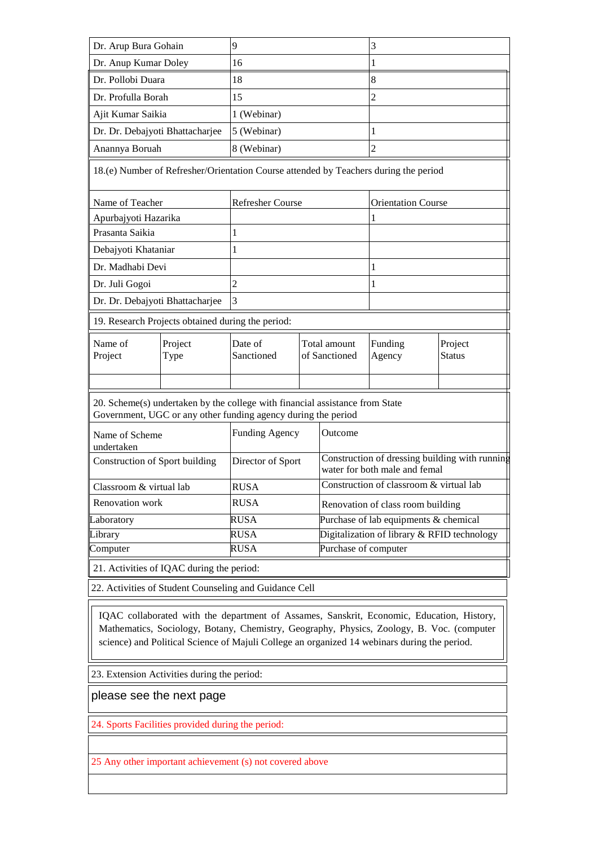| Dr. Arup Bura Gohain            |                                                   | 9                                                                                                                                             |                                             |                                                                                 | 3                         |                          |  |  |
|---------------------------------|---------------------------------------------------|-----------------------------------------------------------------------------------------------------------------------------------------------|---------------------------------------------|---------------------------------------------------------------------------------|---------------------------|--------------------------|--|--|
| Dr. Anup Kumar Doley            |                                                   | 16                                                                                                                                            |                                             |                                                                                 | 1                         |                          |  |  |
| Dr. Pollobi Duara               |                                                   | 18                                                                                                                                            |                                             |                                                                                 | 8                         |                          |  |  |
| Dr. Profulla Borah              | 15                                                |                                                                                                                                               |                                             |                                                                                 | 2                         |                          |  |  |
| Ajit Kumar Saikia               |                                                   | 1 (Webinar)                                                                                                                                   |                                             |                                                                                 |                           |                          |  |  |
| Dr. Dr. Debajyoti Bhattacharjee |                                                   | 5 (Webinar)                                                                                                                                   |                                             |                                                                                 | 1                         |                          |  |  |
| Anannya Boruah                  |                                                   | 8 (Webinar)                                                                                                                                   |                                             |                                                                                 | $\overline{2}$            |                          |  |  |
|                                 |                                                   | 18.(e) Number of Refresher/Orientation Course attended by Teachers during the period                                                          |                                             |                                                                                 |                           |                          |  |  |
| Name of Teacher                 |                                                   | <b>Refresher Course</b>                                                                                                                       |                                             |                                                                                 | <b>Orientation Course</b> |                          |  |  |
| Apurbajyoti Hazarika            |                                                   |                                                                                                                                               |                                             |                                                                                 | 1                         |                          |  |  |
| Prasanta Saikia                 |                                                   | 1                                                                                                                                             |                                             |                                                                                 |                           |                          |  |  |
| Debajyoti Khataniar             |                                                   | 1                                                                                                                                             |                                             |                                                                                 |                           |                          |  |  |
| Dr. Madhabi Devi                |                                                   |                                                                                                                                               |                                             |                                                                                 | $\mathbf 1$               |                          |  |  |
| Dr. Juli Gogoi                  |                                                   | $\overline{2}$                                                                                                                                |                                             |                                                                                 | 1                         |                          |  |  |
| Dr. Dr. Debajyoti Bhattacharjee |                                                   | 3                                                                                                                                             |                                             |                                                                                 |                           |                          |  |  |
|                                 | 19. Research Projects obtained during the period: |                                                                                                                                               |                                             |                                                                                 |                           |                          |  |  |
| Name of<br>Project              | Project<br>Type                                   | Date of<br>Sanctioned                                                                                                                         | Total amount<br>of Sanctioned               |                                                                                 | Funding<br>Agency         | Project<br><b>Status</b> |  |  |
|                                 |                                                   |                                                                                                                                               |                                             |                                                                                 |                           |                          |  |  |
|                                 |                                                   | 20. Scheme(s) undertaken by the college with financial assistance from State<br>Government, UGC or any other funding agency during the period |                                             |                                                                                 |                           |                          |  |  |
| Name of Scheme<br>undertaken    |                                                   | <b>Funding Agency</b><br>Outcome                                                                                                              |                                             |                                                                                 |                           |                          |  |  |
| Construction of Sport building  |                                                   | Director of Sport                                                                                                                             |                                             | Construction of dressing building with running<br>water for both male and femal |                           |                          |  |  |
| Classroom & virtual lab         |                                                   | <b>RUSA</b>                                                                                                                                   |                                             | Construction of classroom & virtual lab                                         |                           |                          |  |  |
| Renovation work                 |                                                   | <b>RUSA</b>                                                                                                                                   |                                             | Renovation of class room building                                               |                           |                          |  |  |
| Laboratory                      |                                                   | <b>RUSA</b>                                                                                                                                   |                                             | Purchase of lab equipments & chemical                                           |                           |                          |  |  |
| Library                         | <b>RUSA</b>                                       |                                                                                                                                               | Digitalization of library & RFID technology |                                                                                 |                           |                          |  |  |
| Computer                        |                                                   | <b>RUSA</b>                                                                                                                                   |                                             | Purchase of computer                                                            |                           |                          |  |  |
|                                 | 21. Activities of IQAC during the period:         |                                                                                                                                               |                                             |                                                                                 |                           |                          |  |  |
|                                 |                                                   | 22. Activities of Student Counseling and Guidance Cell                                                                                        |                                             |                                                                                 |                           |                          |  |  |
|                                 |                                                   |                                                                                                                                               |                                             |                                                                                 |                           |                          |  |  |

IQAC collaborated with the department of Assames, Sanskrit, Economic, Education, History, case for competitive exams for competitive exams. However, due to Covid 19 situation there is no general program in the competitive of the contract program in the contract program in the contract program in the contract pr Mathematics, Sociology, Botany, Chemistry, Geography, Physics, Zoology, B. Voc. (computer science) and Political Science of Majuli College an organized 14 webinars during the period.

23. Extension Activities during the period:

please see the next page

24. Sports Facilities provided during the period:

25 Any other important achievement (s) not covered above